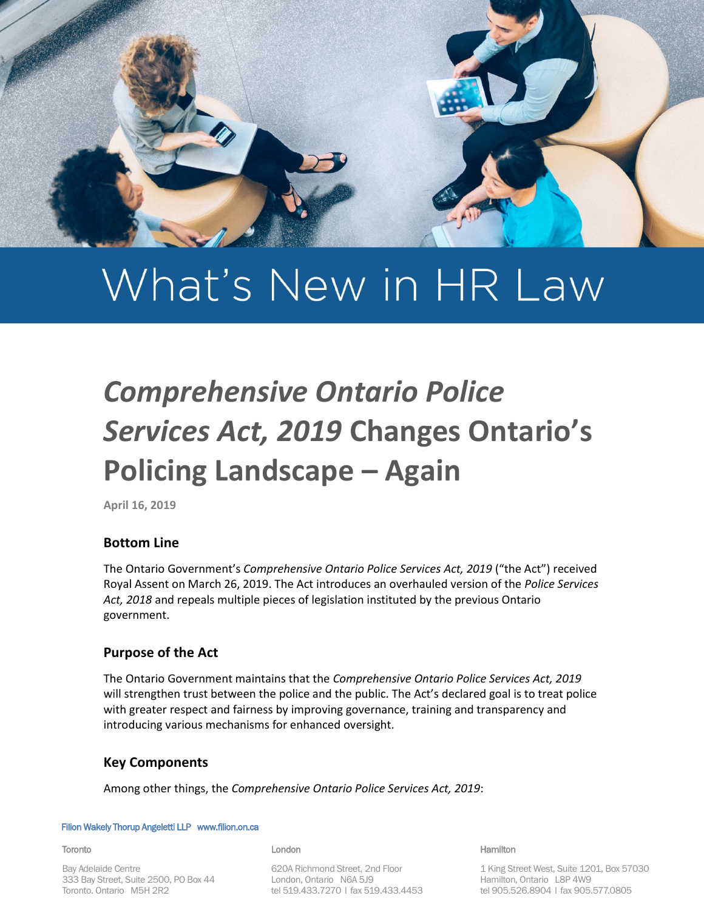

# What's New in HR Law

## *Comprehensive Ontario Police Services Act, 2019* **Changes Ontario's Policing Landscape – Again**

**April 16, 2019**

## **Bottom Line**

The Ontario Government's *Comprehensive Ontario Police Services Act, 2019* ("the Act") received Royal Assent on March 26, 2019. The Act introduces an overhauled version of the *Police Services Act, 2018* and repeals multiple pieces of legislation instituted by the previous Ontario government.

## **Purpose of the Act**

The Ontario Government maintains that the *Comprehensive Ontario Police Services Act, 2019* will strengthen trust between the police and the public. The Act's declared goal is to treat police with greater respect and fairness by improving governance, training and transparency and introducing various mechanisms for enhanced oversight.

## **Key Components**

Among other things, the *Comprehensive Ontario Police Services Act, 2019*:

#### Filion Wakely Thorup Angeletti LLP www.filion.on.ca

#### **Toronto**

Bay Adelaide Centre 333 Bay Street, Suite 2500, PO Box 44 Toronto, Ontario M5H 2R2

#### London

620A Richmond Street, 2nd Floor London, Ontario N6A 5J9 tel 519.433.7270 | fax 519.433.4453

This update is for general discussion purposes and does not constitute legal advice or an opinion. Hamilton

> 1 King Street West, Suite 1201, Box 57030 Hamilton, Ontario L8P 4W9 tel 905.526.8904 | fax 905.577.0805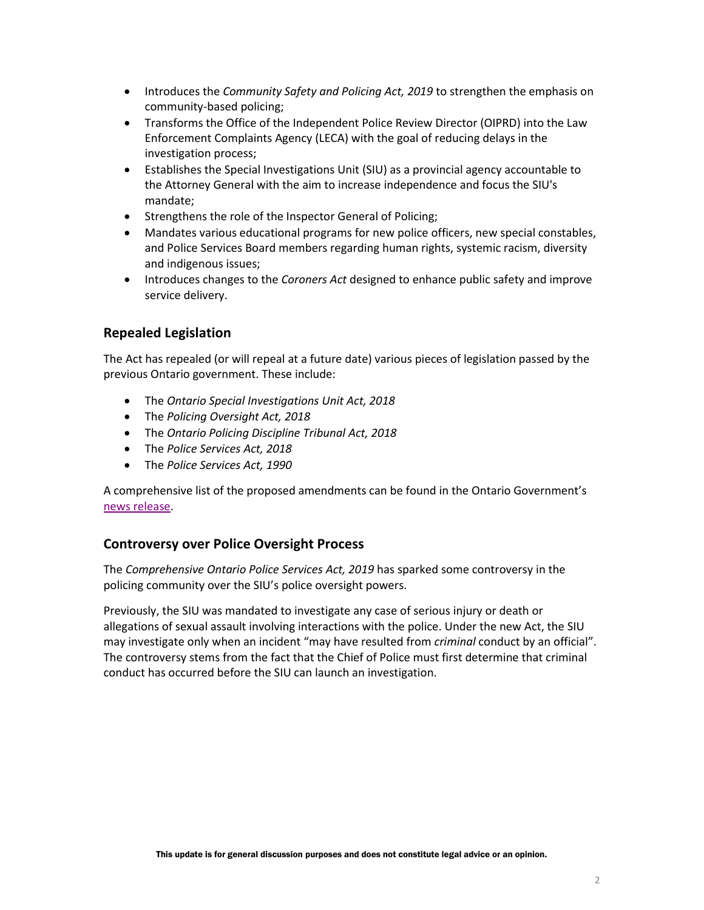- Introduces the *Community Safety and Policing Act, 2019* to strengthen the emphasis on community-based policing;
- Transforms the Office of the Independent Police Review Director (OIPRD) into the Law Enforcement Complaints Agency (LECA) with the goal of reducing delays in the investigation process;
- Establishes the Special Investigations Unit (SIU) as a provincial agency accountable to the Attorney General with the aim to increase independence and focus the SIU's mandate;
- Strengthens the role of the Inspector General of Policing;
- Mandates various educational programs for new police officers, new special constables, and Police Services Board members regarding human rights, systemic racism, diversity and indigenous issues;
- Introduces changes to the *Coroners Act* designed to enhance public safety and improve service delivery.

## **Repealed Legislation**

The Act has repealed (or will repeal at a future date) various pieces of legislation passed by the previous Ontario government. These include:

- The *Ontario Special Investigations Unit Act, 2018*
- The *Policing Oversight Act, 2018*
- The *Ontario Policing Discipline Tribunal Act, 2018*
- The *Police Services Act, 2018*
- The *Police Services Act, 1990*

A comprehensive list of the proposed amendments can be found in the Ontario Government's [news release.](https://news.ontario.ca/mcscs/en/2019/02/how-the-comprehensive-ontario-police-services-act-would-improve-public-safety-by-treating-police-fai.html)

## **Controversy over Police Oversight Process**

The *Comprehensive Ontario Police Services Act, 2019* has sparked some controversy in the policing community over the SIU's police oversight powers.

Previously, the SIU was mandated to investigate any case of serious injury or death or allegations of sexual assault involving interactions with the police. Under the new Act, the SIU may investigate only when an incident "may have resulted from *criminal* conduct by an official". The controversy stems from the fact that the Chief of Police must first determine that criminal conduct has occurred before the SIU can launch an investigation.